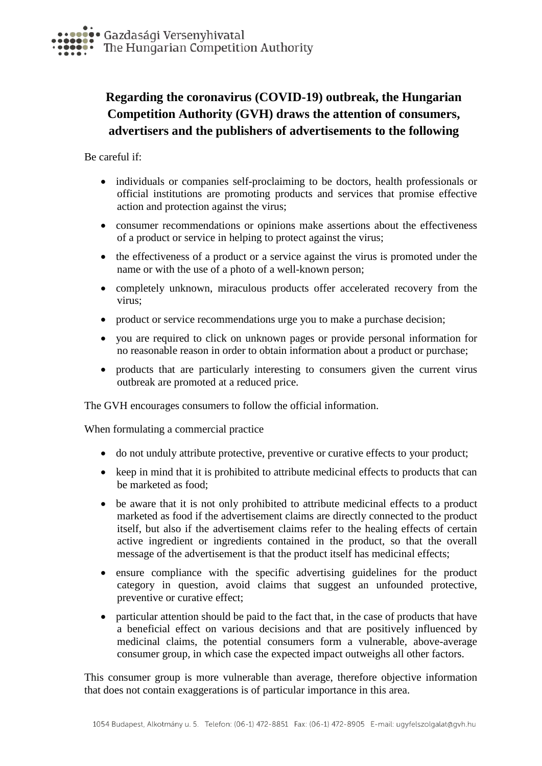## **Regarding the coronavirus (COVID-19) outbreak, the Hungarian Competition Authority (GVH) draws the attention of consumers, advertisers and the publishers of advertisements to the following**

Be careful if:

- individuals or companies self-proclaiming to be doctors, health professionals or official institutions are promoting products and services that promise effective action and protection against the virus;
- consumer recommendations or opinions make assertions about the effectiveness of a product or service in helping to protect against the virus;
- the effectiveness of a product or a service against the virus is promoted under the name or with the use of a photo of a well-known person;
- completely unknown, miraculous products offer accelerated recovery from the virus;
- product or service recommendations urge you to make a purchase decision;
- you are required to click on unknown pages or provide personal information for no reasonable reason in order to obtain information about a product or purchase;
- products that are particularly interesting to consumers given the current virus outbreak are promoted at a reduced price.

The GVH encourages consumers to follow the official information.

When formulating a commercial practice

- do not unduly attribute protective, preventive or curative effects to your product;
- keep in mind that it is prohibited to attribute medicinal effects to products that can be marketed as food;
- be aware that it is not only prohibited to attribute medicinal effects to a product marketed as food if the advertisement claims are directly connected to the product itself, but also if the advertisement claims refer to the healing effects of certain active ingredient or ingredients contained in the product, so that the overall message of the advertisement is that the product itself has medicinal effects;
- ensure compliance with the specific advertising guidelines for the product category in question, avoid claims that suggest an unfounded protective, preventive or curative effect;
- particular attention should be paid to the fact that, in the case of products that have a beneficial effect on various decisions and that are positively influenced by medicinal claims, the potential consumers form a vulnerable, above-average consumer group, in which case the expected impact outweighs all other factors.

This consumer group is more vulnerable than average, therefore objective information that does not contain exaggerations is of particular importance in this area.